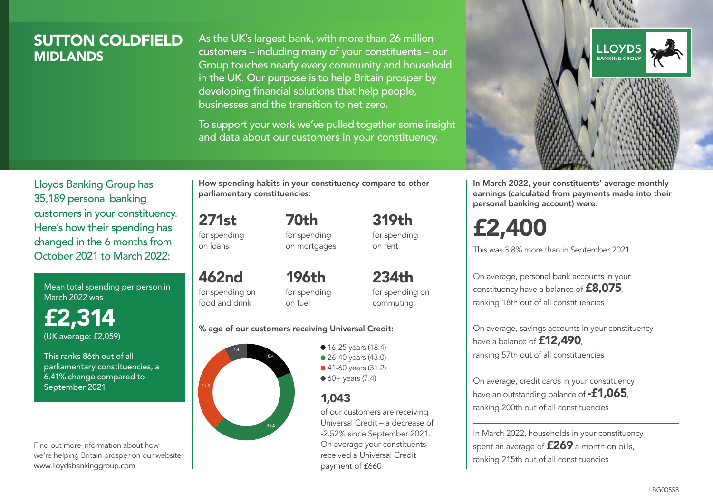## SUTTON COLDFIELD **MIDI ANDS**

As the UK's largest bank, with more than 26 million customers – including many of your constituents – our Group touches nearly every community and household in the UK. Our purpose is to help Britain prosper by developing financial solutions that help people, businesses and the transition to net zero.

To support your work we've pulled together some insight and data about our customers in your constituency.



In March 2022, your constituents' average monthly earnings (calculated from payments made into their personal banking account) were:

# £2,400

This was 3.8% more than in September 2021

On average, personal bank accounts in your constituency have a balance of £8,075, ranking 18th out of all constituencies

On average, savings accounts in your constituency have a balance of **£12,490** ranking 57th out of all constituencies

On average, credit cards in your constituency have an outstanding balance of **-£1,065** ranking 200th out of all constituencies

In March 2022, households in your constituency spent an average of **£269** a month on bills, ranking 215th out of all constituencies

Lloyds Banking Group has 35,189 personal banking customers in your constituency. Here's how their spending has changed in the 6 months from October 2021 to March 2022:

Mean total spending per person in March 2022 was

£2,314 (UK average: £2,059)

This ranks 86th out of all parliamentary constituencies, a 6.41% change compared to September 2021

Find out more information about how we're helping Britain prosper on our website www.lloydsbankinggroup.com

How spending habits in your constituency compare to other parliamentary constituencies:

271st for spending 70th for spending on mortgages

on loans

462nd for spending on food and drink 196th for spending on fuel

234th for spending on commuting

319th for spending on rent

#### % age of our customers receiving Universal Credit:



• 16-25 years (18.4) ● 26-40 years (43.0) ● 41-60 years (31.2)  $60+$  years (7.4)

## 1,043

of our customers are receiving Universal Credit – a decrease of -2.52% since September 2021. On average your constituents received a Universal Credit payment of £660